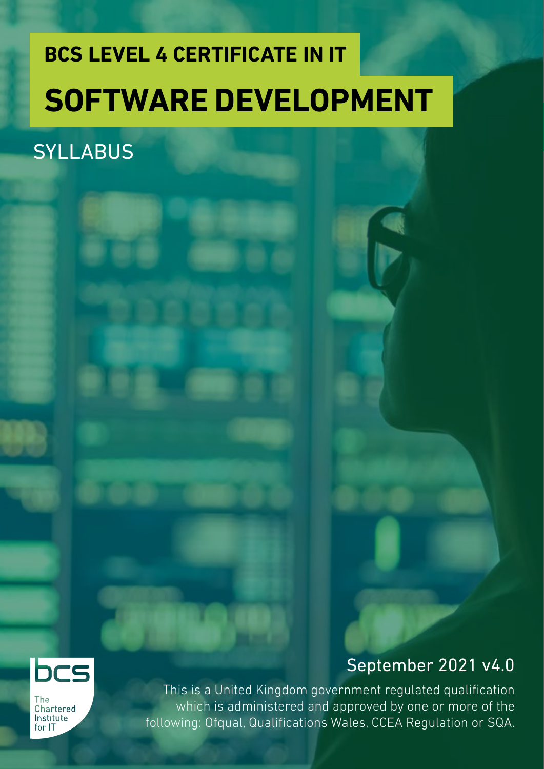## **BCS LEVEL 4 CERTIFICATE IN IT SOFTWARE DEVELOPMENT**

## **SYLLABUS**



September 2021 v4.0

**The** Chartered Institute for IT

This is a United Kingdom government regulated qualification which is administered and approved by one or more of the following: Ofqual, Qualifications Wales, CCEA Regulation or SQA.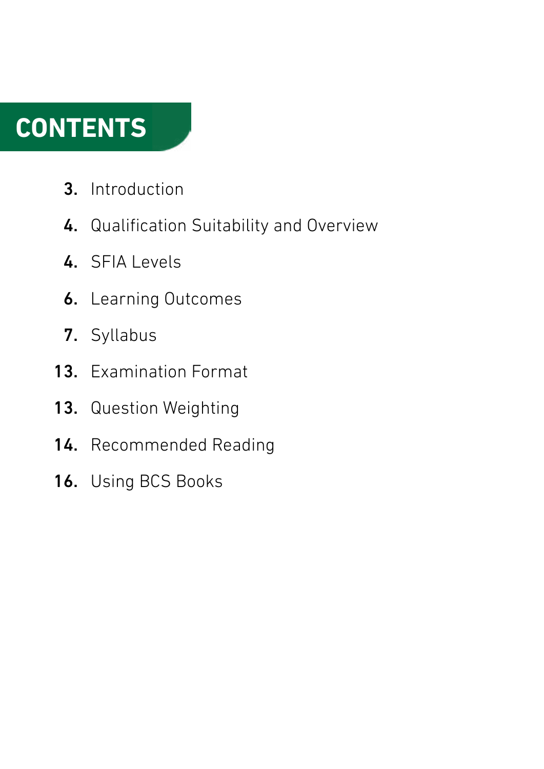## **CONTENTS**

- Introduction 3.
- 4. Qualification Suitability and Overview
- 4. SFIA Levels
- **6.** Learning Outcomes
- 7. Syllabus
- 13. Examination Format
- 13. Question Weighting
- 14. Recommended Reading
- 16. Using BCS Books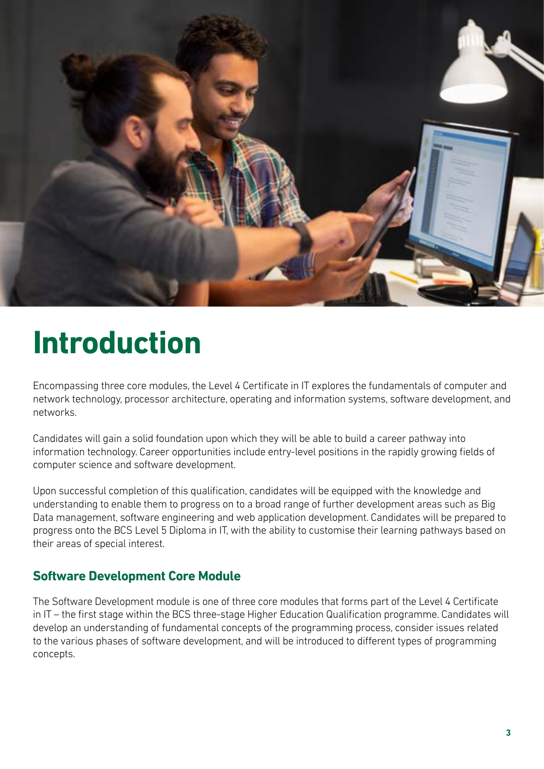

## **Introduction**

Encompassing three core modules, the Level 4 Certificate in IT explores the fundamentals of computer and network technology, processor architecture, operating and information systems, software development, and networks.

Candidates will gain a solid foundation upon which they will be able to build a career pathway into information technology. Career opportunities include entry-level positions in the rapidly growing fields of computer science and software development.

Upon successful completion of this qualification, candidates will be equipped with the knowledge and understanding to enable them to progress on to a broad range of further development areas such as Big Data management, software engineering and web application development. Candidates will be prepared to progress onto the BCS Level 5 Diploma in IT, with the ability to customise their learning pathways based on their areas of special interest.

## **Software Development Core Module**

The Software Development module is one of three core modules that forms part of the Level 4 Certificate in IT – the first stage within the BCS three-stage Higher Education Qualification programme. Candidates will develop an understanding of fundamental concepts of the programming process, consider issues related to the various phases of software development, and will be introduced to different types of programming concepts.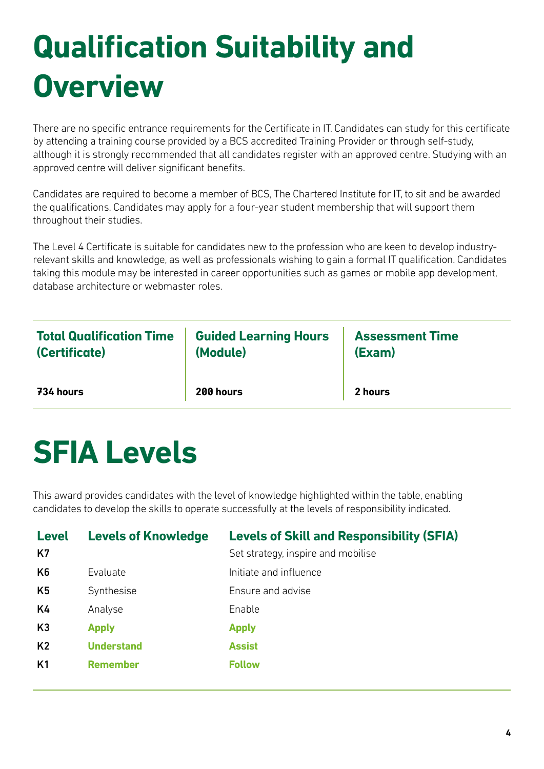## **Qualification Suitability and Overview**

There are no specific entrance requirements for the Certificate in IT. Candidates can study for this certificate by attending a training course provided by a BCS accredited Training Provider or through self-study, although it is strongly recommended that all candidates register with an approved centre. Studying with an approved centre will deliver significant benefits.

Candidates are required to become a member of BCS, The Chartered Institute for IT, to sit and be awarded the qualifications. Candidates may apply for a four-year student membership that will support them throughout their studies.

The Level 4 Certificate is suitable for candidates new to the profession who are keen to develop industryrelevant skills and knowledge, as well as professionals wishing to gain a formal IT qualification. Candidates taking this module may be interested in career opportunities such as games or mobile app development, database architecture or webmaster roles.

| <b>Total Qualification Time</b> | <b>Guided Learning Hours</b> | <b>Assessment Time</b> |
|---------------------------------|------------------------------|------------------------|
| (Certificate)                   | (Module)                     | (Exam)                 |
| 734 hours                       | 200 hours                    | 2 hours                |

## **SFIA Levels**

This award provides candidates with the level of knowledge highlighted within the table, enabling candidates to develop the skills to operate successfully at the levels of responsibility indicated.

| <b>Level</b><br>K7 | <b>Levels of Knowledge</b> | <b>Levels of Skill and Responsibility (SFIA)</b><br>Set strategy, inspire and mobilise |
|--------------------|----------------------------|----------------------------------------------------------------------------------------|
| K6                 | Evaluate                   | Initiate and influence                                                                 |
| K5                 | Synthesise                 | Ensure and advise                                                                      |
| K4                 | Analyse                    | Enable                                                                                 |
| K3                 | <b>Apply</b>               | <b>Apply</b>                                                                           |
| K <sub>2</sub>     | <b>Understand</b>          | <b>Assist</b>                                                                          |
| K <sub>1</sub>     | <b>Remember</b>            | <b>Follow</b>                                                                          |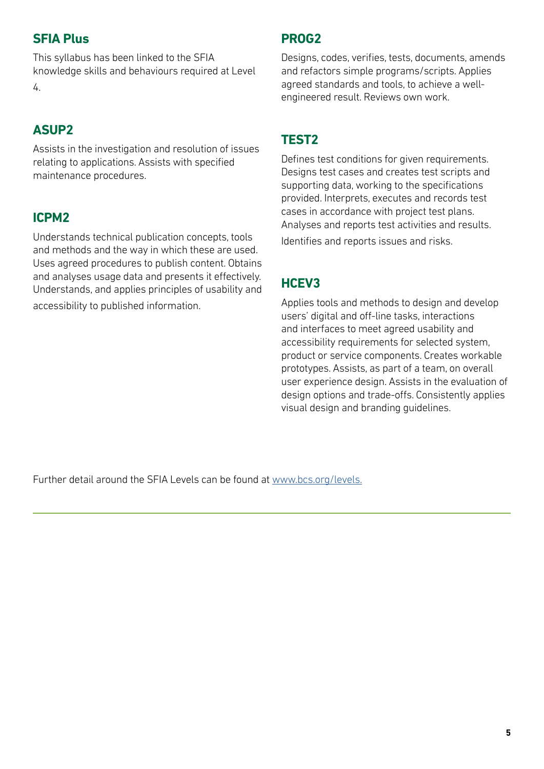## **SFIA Plus**

This syllabus has been linked to the SFIA knowledge skills and behaviours required at Level 4.

## **ASUP2**

Assists in the investigation and resolution of issues relating to applications. Assists with specified maintenance procedures.

## **ICPM2**

Understands technical publication concepts, tools and methods and the way in which these are used. Uses agreed procedures to publish content. Obtains and analyses usage data and presents it effectively. Understands, and applies principles of usability and accessibility to published information.

## **PROG2**

Designs, codes, verifies, tests, documents, amends and refactors simple programs/scripts. Applies agreed standards and tools, to achieve a wellengineered result. Reviews own work.

## **TEST2**

Defines test conditions for given requirements. Designs test cases and creates test scripts and supporting data, working to the specifications provided. Interprets, executes and records test cases in accordance with project test plans. Analyses and reports test activities and results. Identifies and reports issues and risks.

## **HCEV3**

Applies tools and methods to design and develop users' digital and off-line tasks, interactions and interfaces to meet agreed usability and accessibility requirements for selected system, product or service components. Creates workable prototypes. Assists, as part of a team, on overall user experience design. Assists in the evaluation of design options and trade-offs. Consistently applies visual design and branding guidelines.

Further detail around the SFIA Levels can be found at [www.bcs.org/levels.](https://www.bcs.org/media/5165/sfia-levels-knowledge.pdf)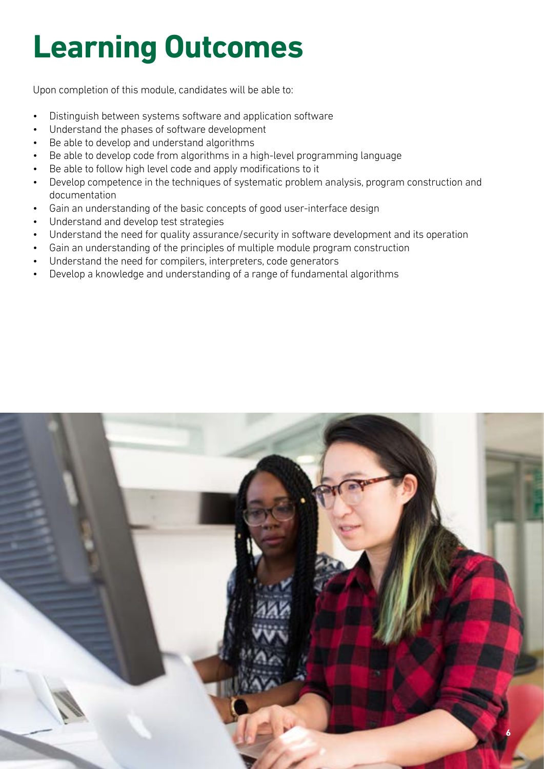# **Learning Outcomes**

Upon completion of this module, candidates will be able to:

- Distinguish between systems software and application software
- Understand the phases of software development
- Be able to develop and understand algorithms
- Be able to develop code from algorithms in a high-level programming language
- Be able to follow high level code and apply modifications to it
- Develop competence in the techniques of systematic problem analysis, program construction and documentation
- Gain an understanding of the basic concepts of good user-interface design
- Understand and develop test strategies
- Understand the need for quality assurance/security in software development and its operation
- Gain an understanding of the principles of multiple module program construction
- Understand the need for compilers, interpreters, code generators
- Develop a knowledge and understanding of a range of fundamental algorithms

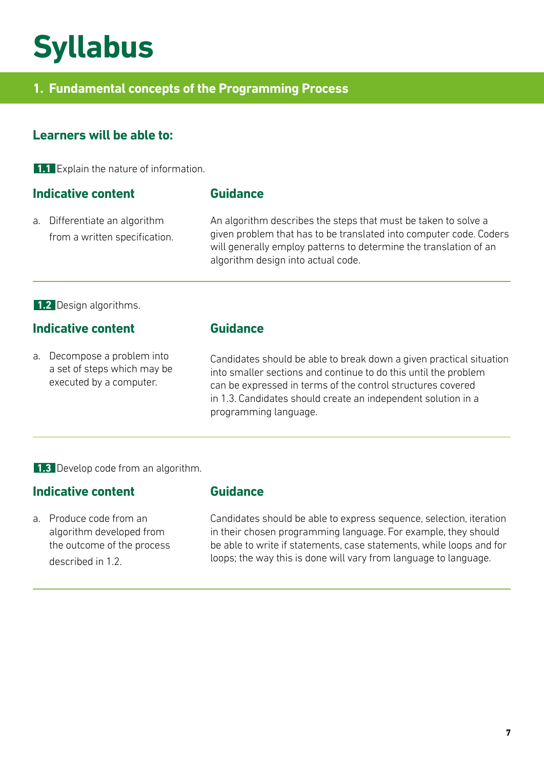## **Syllabus**

## **1. Fundamental concepts of the Programming Process**

## **Learners will be able to:**

**1.1** Explain the nature of information.

#### **Indicative content**

a. Differentiate an algorithm from a written specification.

#### **Guidance**

An algorithm describes the steps that must be taken to solve a given problem that has to be translated into computer code. Coders will generally employ patterns to determine the translation of an algorithm design into actual code.

#### **1.2** Design algorithms.

## **Indicative content**

a. Decompose a problem into a set of steps which may be executed by a computer.

## **Guidance**

**Guidance**

Candidates should be able to break down a given practical situation into smaller sections and continue to do this until the problem can be expressed in terms of the control structures covered in 1.3. Candidates should create an independent solution in a programming language.

**1.3** Develop code from an algorithm.

### **Indicative content**

described in 1.2.

## a. Produce code from an algorithm developed from the outcome of the process

Candidates should be able to express sequence, selection, iteration in their chosen programming language. For example, they should be able to write if statements, case statements, while loops and for loops; the way this is done will vary from language to language.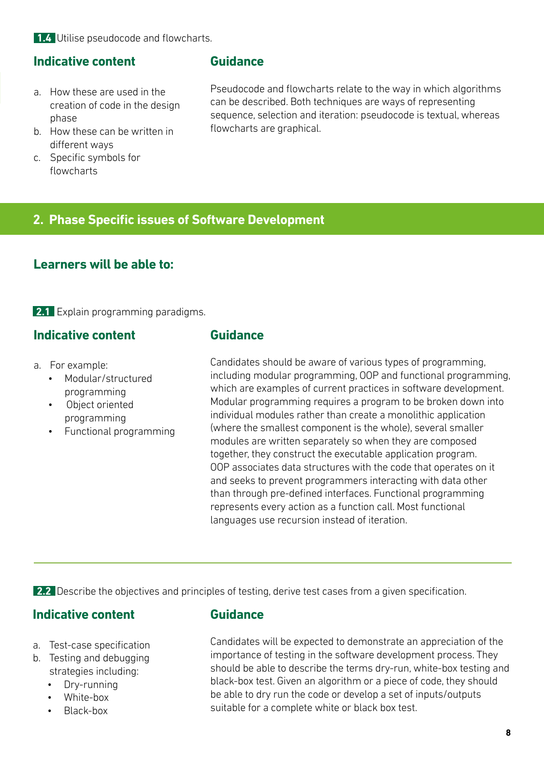**1.4** Utilise pseudocode and flowcharts.

#### **Indicative content**

- a. How these are used in the creation of code in the design phase
- b. How these can be written in different ways
- c. Specific symbols for flowcharts

#### **Guidance**

Pseudocode and flowcharts relate to the way in which algorithms can be described. Both techniques are ways of representing sequence, selection and iteration: pseudocode is textual, whereas flowcharts are graphical.

## **2. Phase Specific issues of Software Development**

## **Learners will be able to:**

**2.1** Explain programming paradigms.

## **Indicative content**

- a. For example:
	- Modular/structured programming
	- Object oriented programming
	- Functional programming

#### **Guidance**

Candidates should be aware of various types of programming, including modular programming, OOP and functional programming, which are examples of current practices in software development. Modular programming requires a program to be broken down into individual modules rather than create a monolithic application (where the smallest component is the whole), several smaller modules are written separately so when they are composed together, they construct the executable application program. OOP associates data structures with the code that operates on it and seeks to prevent programmers interacting with data other than through pre-defined interfaces. Functional programming represents every action as a function call. Most functional languages use recursion instead of iteration.

**2.2** Describe the objectives and principles of testing, derive test cases from a given specification.

### **Indicative content**

- a. Test-case specification
- b. Testing and debugging strategies including:
	- Dry-running
	- White-box
	- Black-box

#### **Guidance**

Candidates will be expected to demonstrate an appreciation of the importance of testing in the software development process. They should be able to describe the terms dry-run, white-box testing and black-box test. Given an algorithm or a piece of code, they should be able to dry run the code or develop a set of inputs/outputs suitable for a complete white or black box test.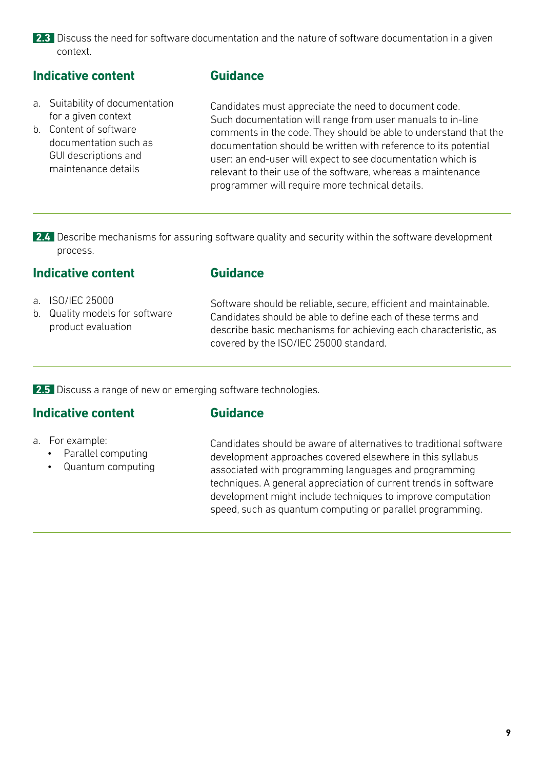2.3 Discuss the need for software documentation and the nature of software documentation in a given context.

## **Indicative content**

- a. Suitability of documentation for a given context
- b. Content of software documentation such as GUI descriptions and maintenance details

### **Guidance**

Candidates must appreciate the need to document code. Such documentation will range from user manuals to in-line comments in the code. They should be able to understand that the documentation should be written with reference to its potential user: an end-user will expect to see documentation which is relevant to their use of the software, whereas a maintenance programmer will require more technical details.

2.4 Describe mechanisms for assuring software quality and security within the software development process.

#### **Indicative content**

- a. ISO/IEC 25000
- b. Quality models for software product evaluation

Software should be reliable, secure, efficient and maintainable. Candidates should be able to define each of these terms and describe basic mechanisms for achieving each characteristic, as covered by the ISO/IEC 25000 standard.

**2.5** Discuss a range of new or emerging software technologies.

### **Indicative content**

#### **Guidance**

**Guidance**

- a. For example:
	- Parallel computing
	- Quantum computing

Candidates should be aware of alternatives to traditional software development approaches covered elsewhere in this syllabus associated with programming languages and programming techniques. A general appreciation of current trends in software development might include techniques to improve computation speed, such as quantum computing or parallel programming.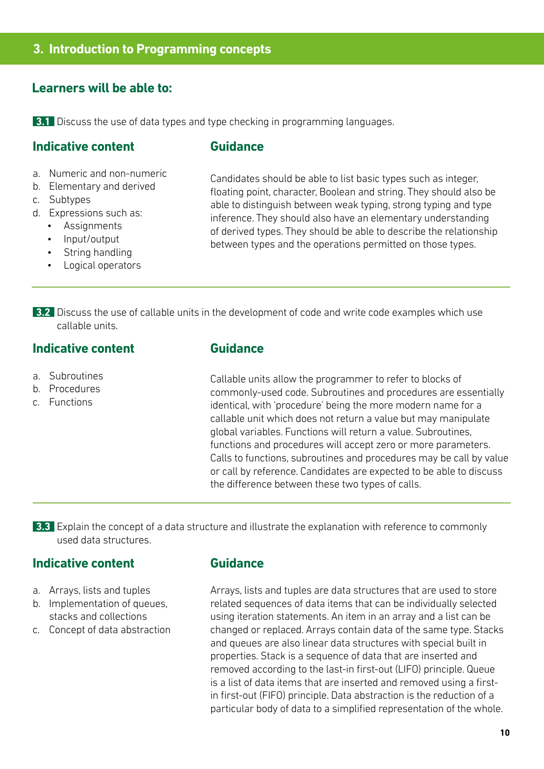#### **3. Introduction to Programming concepts**

#### **Learners will be able to:**

**3.1** Discuss the use of data types and type checking in programming languages.

#### **Indicative content**

#### **Guidance**

- a. Numeric and non-numeric
- b. Elementary and derived
- c. Subtypes
- d. Expressions such as:
	- **Assignments**
	- Input/output
	- String handling
	- Logical operators

Candidates should be able to list basic types such as integer, floating point, character, Boolean and string. They should also be able to distinguish between weak typing, strong typing and type inference. They should also have an elementary understanding of derived types. They should be able to describe the relationship between types and the operations permitted on those types.

**3.2** Discuss the use of callable units in the development of code and write code examples which use callable units.

#### **Indicative content**

- a. Subroutines
- b. Procedures
- c. Functions

### **Guidance**

Callable units allow the programmer to refer to blocks of commonly-used code. Subroutines and procedures are essentially identical, with 'procedure' being the more modern name for a callable unit which does not return a value but may manipulate global variables. Functions will return a value. Subroutines, functions and procedures will accept zero or more parameters. Calls to functions, subroutines and procedures may be call by value or call by reference. Candidates are expected to be able to discuss the difference between these two types of calls.

**3.3** Explain the concept of a data structure and illustrate the explanation with reference to commonly used data structures.

#### **Indicative content**

- a. Arrays, lists and tuples
- b. Implementation of queues, stacks and collections
- c. Concept of data abstraction

#### **Guidance**

Arrays, lists and tuples are data structures that are used to store related sequences of data items that can be individually selected using iteration statements. An item in an array and a list can be changed or replaced. Arrays contain data of the same type. Stacks and queues are also linear data structures with special built in properties. Stack is a sequence of data that are inserted and removed according to the last-in first-out (LIFO) principle. Queue is a list of data items that are inserted and removed using a firstin first-out (FIFO) principle. Data abstraction is the reduction of a particular body of data to a simplified representation of the whole.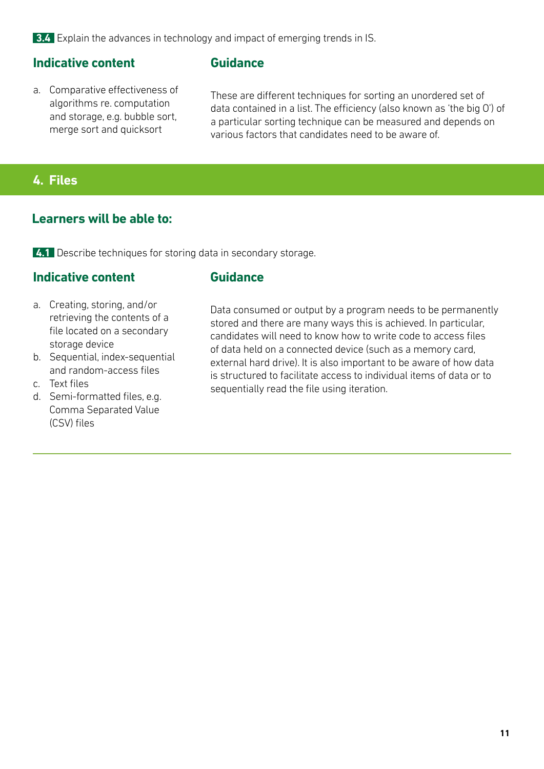**3.4** Explain the advances in technology and impact of emerging trends in IS.

#### **Indicative content**

a. Comparative effectiveness of algorithms re. computation and storage, e.g. bubble sort, merge sort and quicksort

#### **Guidance**

These are different techniques for sorting an unordered set of data contained in a list. The efficiency (also known as 'the big O') of a particular sorting technique can be measured and depends on various factors that candidates need to be aware of.

## **4. Files**

### **Learners will be able to:**

**4.1** Describe techniques for storing data in secondary storage.

## **Indicative content**

#### **Guidance**

- a. Creating, storing, and/or retrieving the contents of a file located on a secondary storage device
- b. Sequential, index-sequential and random-access files
- c. Text files
- d. Semi-formatted files, e.g. Comma Separated Value (CSV) files

Data consumed or output by a program needs to be permanently stored and there are many ways this is achieved. In particular, candidates will need to know how to write code to access files of data held on a connected device (such as a memory card, external hard drive). It is also important to be aware of how data is structured to facilitate access to individual items of data or to sequentially read the file using iteration.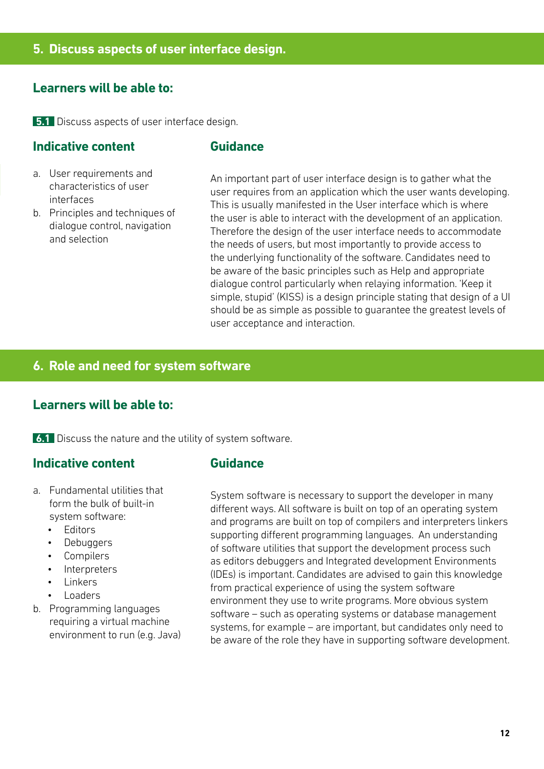#### **Learners will be able to:**

**5.1** Discuss aspects of user interface design.

#### **Indicative content**

#### **Guidance**

- a. User requirements and characteristics of user interfaces
- b. Principles and techniques of dialogue control, navigation and selection

An important part of user interface design is to gather what the user requires from an application which the user wants developing. This is usually manifested in the User interface which is where the user is able to interact with the development of an application. Therefore the design of the user interface needs to accommodate the needs of users, but most importantly to provide access to the underlying functionality of the software. Candidates need to be aware of the basic principles such as Help and appropriate dialogue control particularly when relaying information. 'Keep it simple, stupid' (KISS) is a design principle stating that design of a UI should be as simple as possible to guarantee the greatest levels of user acceptance and interaction.

## **6. Role and need for system software**

#### **Learners will be able to:**

**6.1** Discuss the nature and the utility of system software.

#### **Indicative content**

- a. Fundamental utilities that form the bulk of built-in system software:
	- Editors
	- **Debuggers**
	- Compilers
	- **Interpreters**
	- **Linkers**
	- Loaders
- b. Programming languages requiring a virtual machine environment to run (e.g. Java)

#### **Guidance**

System software is necessary to support the developer in many different ways. All software is built on top of an operating system and programs are built on top of compilers and interpreters linkers supporting different programming languages. An understanding of software utilities that support the development process such as editors debuggers and Integrated development Environments (IDEs) is important. Candidates are advised to gain this knowledge from practical experience of using the system software environment they use to write programs. More obvious system software – such as operating systems or database management systems, for example – are important, but candidates only need to be aware of the role they have in supporting software development.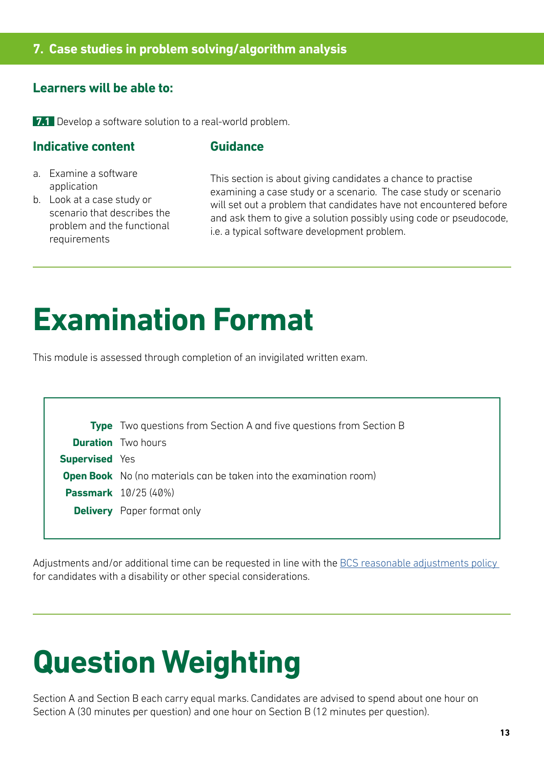## **7. Case studies in problem solving/algorithm analysis**

## **Learners will be able to:**

**7.1** Develop a software solution to a real-world problem.

## **Indicative content**

#### **Guidance**

- a. Examine a software application
- b. Look at a case study or scenario that describes the problem and the functional requirements

This section is about giving candidates a chance to practise examining a case study or a scenario. The case study or scenario will set out a problem that candidates have not encountered before and ask them to give a solution possibly using code or pseudocode, i.e. a typical software development problem.

## **Examination Format**

This module is assessed through completion of an invigilated written exam.

|                       | <b>Type</b> Two questions from Section A and five questions from Section B |
|-----------------------|----------------------------------------------------------------------------|
|                       | <b>Duration</b> Two hours                                                  |
| <b>Supervised</b> Yes |                                                                            |
|                       | <b>Open Book</b> No (no materials can be taken into the examination room)  |
|                       | <b>Passmark</b> 10/25 (40%)                                                |
|                       | <b>Delivery</b> Paper format only                                          |
|                       |                                                                            |

Adjustments and/or additional time can be requested in line with the BCS reasonable adjustments policy for candidates with a disability or other special considerations.

## **Question Weighting**

Section A and Section B each carry equal marks. Candidates are advised to spend about one hour on Section A (30 minutes per question) and one hour on Section B (12 minutes per question).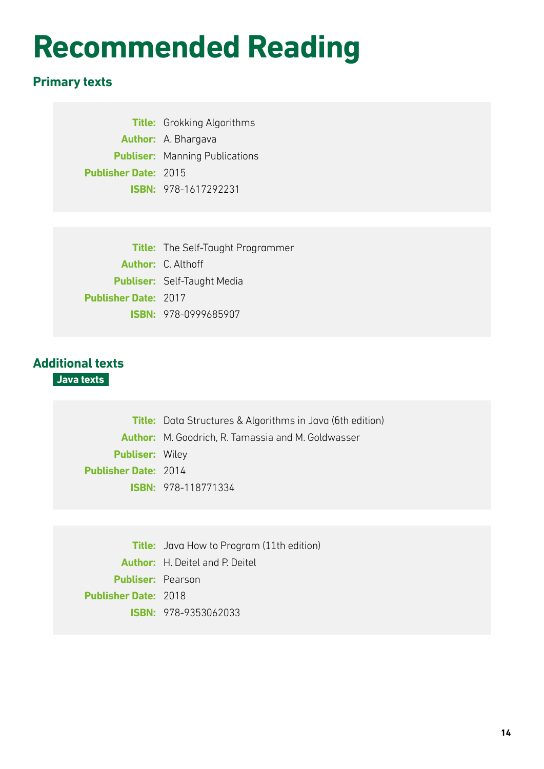## **Recommended Reading**

## **Primary texts**

**Title:** Grokking Algorithms **Author:** A. Bhargava **Publiser:** Manning Publications **Publisher Date:** 2015 **ISBN:** 978-1617292231

**Title:** The Self-Taught Programmer **Author:** C. Althoff **Publiser:** Self-Taught Media **Publisher Date:** 2017 **ISBN:** 978-0999685907

## **Additional texts**

**Java texts**

**Title:** Data Structures & Algorithms in Java (6th edition) **Author:** M. Goodrich, R. Tamassia and M. Goldwasser **Publiser:** Wiley **Publisher Date:** 2014 **ISBN:** 978-118771334

**Title:** Java How to Program (11th edition) **Author:** H. Deitel and P. Deitel **Publiser:** Pearson **Publisher Date:** 2018 **ISBN:** 978-9353062033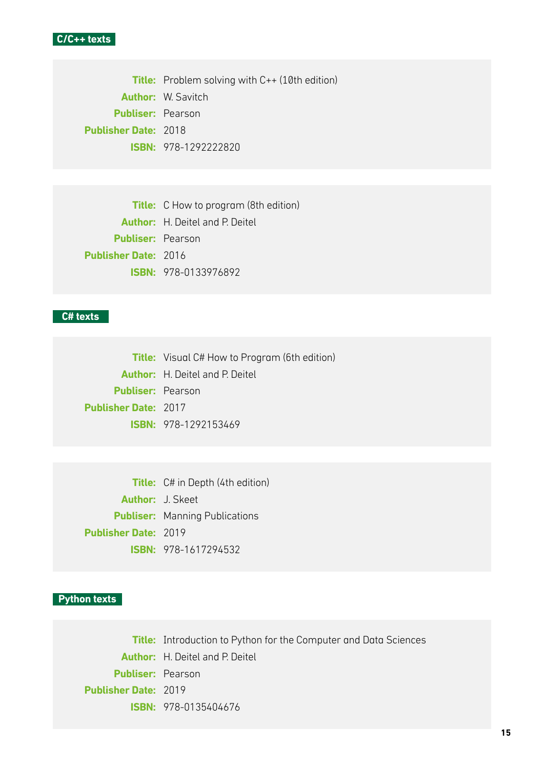

**Title:** Problem solving with C++ (10th edition) **Author:** W. Savitch **Publiser:** Pearson **Publisher Date:** 2018 **ISBN:** 978-1292222820

**Title:** C How to program (8th edition) **Author:** H. Deitel and P. Deitel **Publiser:** Pearson **Publisher Date:** 2016 **ISBN:** 978-0133976892

#### **C# texts**

**Title:** Visual C# How to Program (6th edition) **Author:** H. Deitel and P. Deitel **Publiser:** Pearson **Publisher Date:** 2017 **ISBN:** 978-1292153469

**Title:** C# in Depth (4th edition) **Author:** J. Skeet **Publiser:** Manning Publications **Publisher Date:** 2019 **ISBN:** 978-1617294532

#### **Python texts**

**Title:** Introduction to Python for the Computer and Data Sciences **Author:** H. Deitel and P. Deitel **Publiser:** Pearson **Publisher Date:** 2019 **ISBN:** 978-0135404676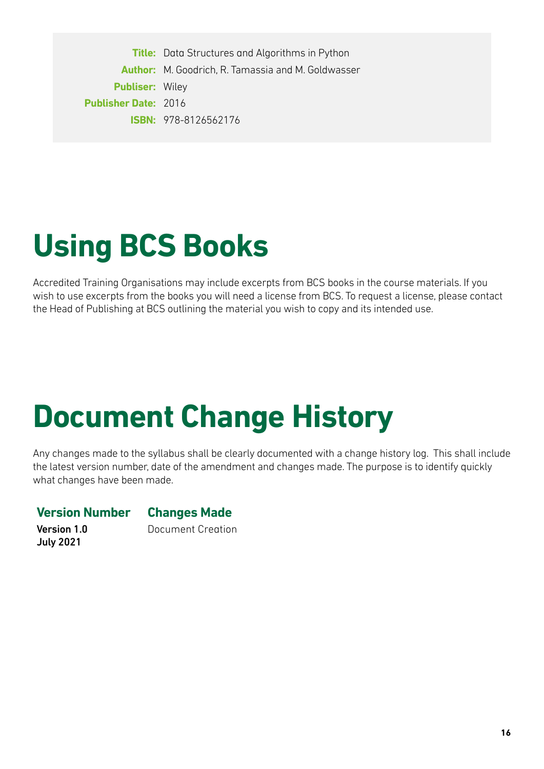**Title:** Data Structures and Algorithms in Python **Author:** M. Goodrich, R. Tamassia and M. Goldwasser **Publiser:** Wiley **Publisher Date:** 2016 **ISBN:** 978-8126562176

## **Using BCS Books**

Accredited Training Organisations may include excerpts from BCS books in the course materials. If you wish to use excerpts from the books you will need a license from BCS. To request a license, please contact the Head of Publishing at BCS outlining the material you wish to copy and its intended use.

## **Document Change History**

Any changes made to the syllabus shall be clearly documented with a change history log. This shall include the latest version number, date of the amendment and changes made. The purpose is to identify quickly what changes have been made.

### **Version Number Changes Made**

Version 1.0 July 2021

Document Creation